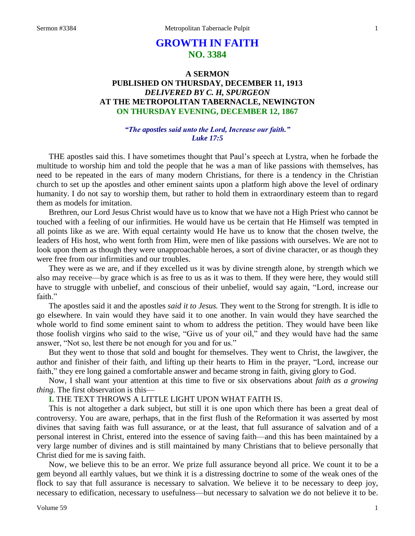# **GROWTH IN FAITH NO. 3384**

# **A SERMON PUBLISHED ON THURSDAY, DECEMBER 11, 1913** *DELIVERED BY C. H, SPURGEON* **AT THE METROPOLITAN TABERNACLE, NEWINGTON ON THURSDAY EVENING, DECEMBER 12, 1867**

## *"The apostles said unto the Lord, Increase our faith." Luke 17:5*

THE apostles said this. I have sometimes thought that Paul's speech at Lystra, when he forbade the multitude to worship him and told the people that he was a man of like passions with themselves, has need to be repeated in the ears of many modern Christians, for there is a tendency in the Christian church to set up the apostles and other eminent saints upon a platform high above the level of ordinary humanity. I do not say to worship them, but rather to hold them in extraordinary esteem than to regard them as models for imitation.

Brethren, our Lord Jesus Christ would have us to know that we have not a High Priest who cannot be touched with a feeling of our infirmities. He would have us be certain that He Himself was tempted in all points like as we are. With equal certainty would He have us to know that the chosen twelve, the leaders of His host, who went forth from Him, were men of like passions with ourselves. We are not to look upon them as though they were unapproachable heroes, a sort of divine character, or as though they were free from our infirmities and our troubles.

They were as we are, and if they excelled us it was by divine strength alone, by strength which we also may receive—by grace which is as free to us as it was to them. If they were here, they would still have to struggle with unbelief, and conscious of their unbelief, would say again, "Lord*,* increase our faith."

The apostles said it and the apostles *said it to Jesus.* They went to the Strong for strength. It is idle to go elsewhere. In vain would they have said it to one another. In vain would they have searched the whole world to find some eminent saint to whom to address the petition. They would have been like those foolish virgins who said to the wise, "Give us of your oil," and they would have had the same answer, "Not so, lest there be not enough for you and for us."

But they went to those that sold and bought for themselves. They went to Christ, the lawgiver, the author and finisher of their faith, and lifting up their hearts to Him in the prayer, "Lord, increase our faith," they ere long gained a comfortable answer and became strong in faith, giving glory to God.

Now, I shall want your attention at this time to five or six observations about *faith as a growing thing.* The first observation is this—

**I.** THE TEXT THROWS A LITTLE LIGHT UPON WHAT FAITH IS.

This is not altogether a dark subject, but still it is one upon which there has been a great deal of controversy. You are aware, perhaps, that in the first flush of the Reformation it was asserted by most divines that saving faith was full assurance, or at the least, that full assurance of salvation and of a personal interest in Christ, entered into the essence of saving faith—and this has been maintained by a very large number of divines and is still maintained by many Christians that to believe personally that Christ died for me is saving faith.

Now, we believe this to be an error. We prize full assurance beyond all price. We count it to be a gem beyond all earthly values, but we think it is a distressing doctrine to some of the weak ones of the flock to say that full assurance is necessary to salvation. We believe it to be necessary to deep joy, necessary to edification, necessary to usefulness—but necessary to salvation we do not believe it to be.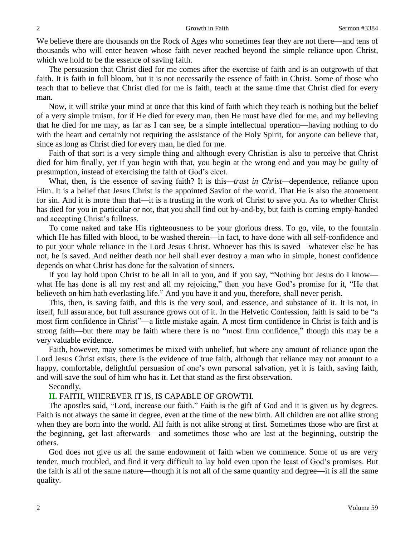We believe there are thousands on the Rock of Ages who sometimes fear they are not there—and tens of thousands who will enter heaven whose faith never reached beyond the simple reliance upon Christ, which we hold to be the essence of saving faith.

The persuasion that Christ died for me comes after the exercise of faith and is an outgrowth of that faith. It is faith in full bloom, but it is not necessarily the essence of faith in Christ. Some of those who teach that to believe that Christ died for me is faith, teach at the same time that Christ died for every man.

Now, it will strike your mind at once that this kind of faith which they teach is nothing but the belief of a very simple truism, for if He died for every man, then He must have died for me, and my believing that he died for me may, as far as I can see, be a simple intellectual operation—having nothing to do with the heart and certainly not requiring the assistance of the Holy Spirit, for anyone can believe that, since as long as Christ died for every man, he died for me.

Faith of that sort is a very simple thing and although every Christian is also to perceive that Christ died for him finally, yet if you begin with that, you begin at the wrong end and you may be guilty of presumption, instead of exercising the faith of God's elect.

What, then, is the essence of saving faith? It is this*—trust in Christ—*dependence, reliance upon Him. It is a belief that Jesus Christ is the appointed Savior of the world. That He is also the atonement for sin. And it is more than that—it is a trusting in the work of Christ to save you. As to whether Christ has died for you in particular or not, that you shall find out by-and-by, but faith is coming empty-handed and accepting Christ's fullness.

To come naked and take His righteousness to be your glorious dress. To go, vile, to the fountain which He has filled with blood, to be washed therein—in fact, to have done with all self-confidence and to put your whole reliance in the Lord Jesus Christ. Whoever has this is saved—whatever else he has not, he is saved. And neither death nor hell shall ever destroy a man who in simple, honest confidence depends on what Christ has done for the salvation of sinners.

If you lay hold upon Christ to be all in all to you, and if you say, "Nothing but Jesus do I know what He has done is all my rest and all my rejoicing," then you have God's promise for it, "He that believeth on him hath everlasting life." And you have it and you, therefore, shall never perish.

This, then, is saving faith, and this is the very soul, and essence, and substance of it. It is not, in itself, full assurance, but full assurance grows out of it. In the Helvetic Confession, faith is said to be "a most firm confidence in Christ"—a little mistake again. A most firm confidence in Christ is faith and is strong faith—but there may be faith where there is no "most firm confidence," though this may be a very valuable evidence.

Faith, however, may sometimes be mixed with unbelief, but where any amount of reliance upon the Lord Jesus Christ exists, there is the evidence of true faith, although that reliance may not amount to a happy, comfortable, delightful persuasion of one's own personal salvation, yet it is faith, saving faith, and will save the soul of him who has it. Let that stand as the first observation.

Secondly,

# **II.** FAITH, WHEREVER IT IS, IS CAPABLE OF GROWTH.

The apostles said, "Lord, increase our faith." Faith is the gift of God and it is given us by degrees. Faith is not always the same in degree, even at the time of the new birth. All children are not alike strong when they are born into the world. All faith is not alike strong at first. Sometimes those who are first at the beginning, get last afterwards—and sometimes those who are last at the beginning, outstrip the others.

God does not give us all the same endowment of faith when we commence. Some of us are very tender, much troubled, and find it very difficult to lay hold even upon the least of God's promises. But the faith is all of the same nature—though it is not all of the same quantity and degree—it is all the same quality.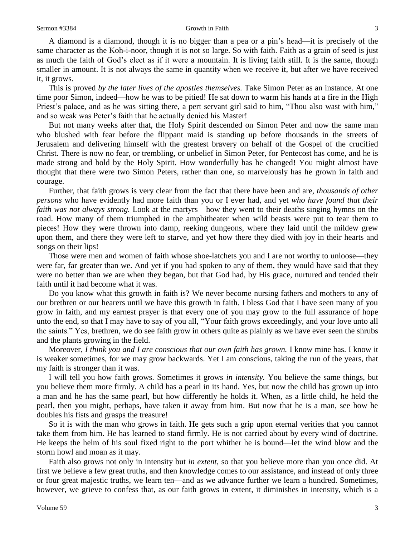#### Sermon #3384 Growth in Faith 3

A diamond is a diamond, though it is no bigger than a pea or a pin's head—it is precisely of the same character as the Koh-i-noor, though it is not so large. So with faith. Faith as a grain of seed is just as much the faith of God's elect as if it were a mountain. It is living faith still. It is the same, though smaller in amount. It is not always the same in quantity when we receive it, but after we have received it, it grows.

This is proved *by the later lives of the apostles themselves.* Take Simon Peter as an instance. At one time poor Simon, indeed—how he was to be pitied! He sat down to warm his hands at a fire in the High Priest's palace, and as he was sitting there, a pert servant girl said to him, "Thou also wast with him," and so weak was Peter's faith that he actually denied his Master!

But not many weeks after that, the Holy Spirit descended on Simon Peter and now the same man who blushed with fear before the flippant maid is standing up before thousands in the streets of Jerusalem and delivering himself with the greatest bravery on behalf of the Gospel of the crucified Christ. There is now no fear, or trembling, or unbelief in Simon Peter, for Pentecost has come, and he is made strong and bold by the Holy Spirit. How wonderfully has he changed! You might almost have thought that there were two Simon Peters, rather than one, so marvelously has he grown in faith and courage.

Further, that faith grows is very clear from the fact that there have been and are, *thousands of other persons* who have evidently had more faith than you or I ever had, and yet *who have found that their faith was not always strong.* Look at the martyrs—how they went to their deaths singing hymns on the road. How many of them triumphed in the amphitheater when wild beasts were put to tear them to pieces! How they were thrown into damp, reeking dungeons, where they laid until the mildew grew upon them, and there they were left to starve, and yet how there they died with joy in their hearts and songs on their lips!

Those were men and women of faith whose shoe-latchets you and I are not worthy to unloose—they were far, far greater than we. And yet if you had spoken to any of them, they would have said that they were no better than we are when they began, but that God had, by His grace, nurtured and tended their faith until it had become what it was.

Do you know what this growth in faith is? We never become nursing fathers and mothers to any of our brethren or our hearers until we have this growth in faith. I bless God that I have seen many of you grow in faith, and my earnest prayer is that every one of you may grow to the full assurance of hope unto the end, so that I may have to say of you all, "Your faith grows exceedingly, and your love unto all the saints." Yes, brethren, we do see faith grow in others quite as plainly as we have ever seen the shrubs and the plants growing in the field.

Moreover, *I think you and I are conscious that our own faith has grown*. I know mine has. I know it is weaker sometimes, for we may grow backwards. Yet I am conscious, taking the run of the years, that my faith is stronger than it was.

I will tell you how faith grows. Sometimes it grows *in intensity.* You believe the same things, but you believe them more firmly. A child has a pearl in its hand. Yes, but now the child has grown up into a man and he has the same pearl, but how differently he holds it. When, as a little child, he held the pearl, then you might, perhaps, have taken it away from him. But now that he is a man, see how he doubles his fists and grasps the treasure!

So it is with the man who grows in faith. He gets such a grip upon eternal verities that you cannot take them from him. He has learned to stand firmly. He is not carried about by every wind of doctrine. He keeps the helm of his soul fixed right to the port whither he is bound—let the wind blow and the storm howl and moan as it may.

Faith also grows not only in intensity but *in extent*, so that you believe more than you once did. At first we believe a few great truths, and then knowledge comes to our assistance, and instead of only three or four great majestic truths, we learn ten—and as we advance further we learn a hundred. Sometimes, however, we grieve to confess that, as our faith grows in extent, it diminishes in intensity, which is a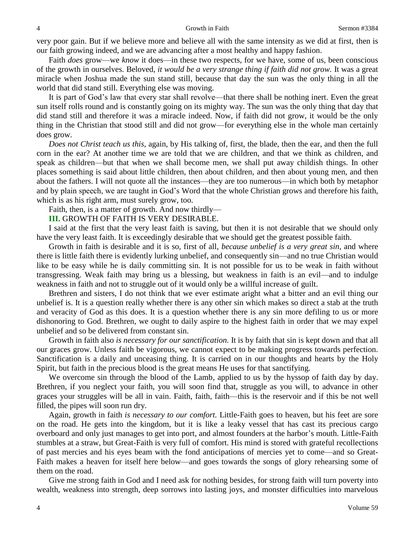very poor gain. But if we believe more and believe all with the same intensity as we did at first, then is our faith growing indeed, and we are advancing after a most healthy and happy fashion.

Faith *does* grow—we *know* it does—in these two respects, for we have, some of us, been conscious of the growth in ourselves. Beloved, *it would be a very strange thing if faith did not grow.* It was a great miracle when Joshua made the sun stand still, because that day the sun was the only thing in all the world that did stand still. Everything else was moving.

It is part of God's law that every star shall revolve—that there shall be nothing inert. Even the great sun itself rolls round and is constantly going on its mighty way. The sun was the only thing that day that did stand still and therefore it was a miracle indeed. Now, if faith did not grow, it would be the only thing in the Christian that stood still and did not grow—for everything else in the whole man certainly does grow.

*Does not Christ teach us this,* again, by His talking of, first, the blade, then the ear, and then the full corn in the ear? At another time we are told that we are children, and that we think as children, and speak as children—but that when we shall become men, we shall put away childish things. In other places something is said about little children, then about children, and then about young men, and then about the fathers. I will not quote all the instances—they are too numerous—in which both by metaphor and by plain speech, we are taught in God's Word that the whole Christian grows and therefore his faith, which is as his right arm, must surely grow, too.

Faith, then, is a matter of growth. And now thirdly—

**III.** GROWTH OF FAITH IS VERY DESIRABLE.

I said at the first that the very least faith is saving, but then it is not desirable that we should only have the very least faith. It is exceedingly desirable that we should get the greatest possible faith.

Growth in faith is desirable and it is so, first of all, *because unbelief is a very great sin*, and where there is little faith there is evidently lurking unbelief, and consequently sin—and no true Christian would like to be easy while he is daily committing sin. It is not possible for us to be weak in faith without transgressing. Weak faith may bring us a blessing, but weakness in faith is an evil—and to indulge weakness in faith and not to struggle out of it would only be a willful increase of guilt.

Brethren and sisters, I do not think that we ever estimate aright what a bitter and an evil thing our unbelief is. It is a question really whether there is any other sin which makes so direct a stab at the truth and veracity of God as this does. It is a question whether there is any sin more defiling to us or more dishonoring to God. Brethren, we ought to daily aspire to the highest faith in order that we may expel unbelief and so be delivered from constant sin.

Growth in faith also *is necessary for our sanctification.* It is by faith that sin is kept down and that all our graces grow. Unless faith be vigorous, we cannot expect to be making progress towards perfection. Sanctification is a daily and unceasing thing. It is carried on in our thoughts and hearts by the Holy Spirit, but faith in the precious blood is the great means He uses for that sanctifying.

We overcome sin through the blood of the Lamb, applied to us by the hyssop of faith day by day. Brethren, if you neglect your faith, you will soon find that, struggle as you will, to advance in other graces your struggles will be all in vain. Faith, faith, faith—this is the reservoir and if this be not well filled, the pipes will soon run dry.

Again, growth in faith *is necessary to our comfort.* Little-Faith goes to heaven, but his feet are sore on the road. He gets into the kingdom, but it is like a leaky vessel that has cast its precious cargo overboard and only just manages to get into port, and almost founders at the harbor's mouth. Little-Faith stumbles at a straw, but Great-Faith is very full of comfort. His mind is stored with grateful recollections of past mercies and his eyes beam with the fond anticipations of mercies yet to come—and so Great-Faith makes a heaven for itself here below—and goes towards the songs of glory rehearsing some of them on the road.

Give me strong faith in God and I need ask for nothing besides, for strong faith will turn poverty into wealth, weakness into strength, deep sorrows into lasting joys, and monster difficulties into marvelous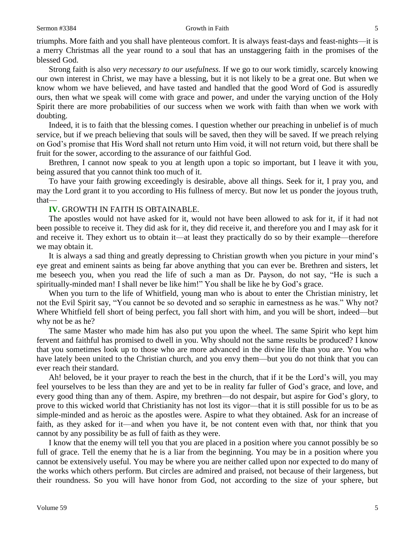### Sermon #3384 Growth in Faith 5

triumphs. More faith and you shall have plenteous comfort. It is always feast-days and feast-nights—it is a merry Christmas all the year round to a soul that has an unstaggering faith in the promises of the blessed God.

Strong faith is also *very necessary to our usefulness.* If we go to our work timidly, scarcely knowing our own interest in Christ, we may have a blessing, but it is not likely to be a great one. But when we know whom we have believed, and have tasted and handled that the good Word of God is assuredly ours, then what we speak will come with grace and power, and under the varying unction of the Holy Spirit there are more probabilities of our success when we work with faith than when we work with doubting.

Indeed, it is to faith that the blessing comes. I question whether our preaching in unbelief is of much service, but if we preach believing that souls will be saved, then they will be saved. If we preach relying on God's promise that His Word shall not return unto Him void, it will not return void, but there shall be fruit for the sower, according to the assurance of our faithful God.

Brethren, I cannot now speak to you at length upon a topic so important, but I leave it with you, being assured that you cannot think too much of it.

To have your faith growing exceedingly is desirable, above all things. Seek for it, I pray you, and may the Lord grant it to you according to His fullness of mercy. But now let us ponder the joyous truth, that—

# **IV.** GROWTH IN FAITH IS OBTAINABLE.

The apostles would not have asked for it, would not have been allowed to ask for it, if it had not been possible to receive it. They did ask for it, they did receive it, and therefore you and I may ask for it and receive it. They exhort us to obtain it—at least they practically do so by their example—therefore we may obtain it.

It is always a sad thing and greatly depressing to Christian growth when you picture in your mind's eye great and eminent saints as being far above anything that you can ever be. Brethren and sisters, let me beseech you, when you read the life of such a man as Dr. Payson, do not say, "He is such a spiritually-minded man! I shall never be like him!" You shall be like he by God's grace.

When you turn to the life of Whitfield, young man who is about to enter the Christian ministry, let not the Evil Spirit say, "You cannot be so devoted and so seraphic in earnestness as he was." Why not? Where Whitfield fell short of being perfect, you fall short with him, and you will be short, indeed—but why not be as he?

The same Master who made him has also put you upon the wheel. The same Spirit who kept him fervent and faithful has promised to dwell in you. Why should not the same results be produced? I know that you sometimes look up to those who are more advanced in the divine life than you are. You who have lately been united to the Christian church, and you envy them—but you do not think that you can ever reach their standard.

Ah! beloved, be it your prayer to reach the best in the church, that if it be the Lord's will, you may feel yourselves to be less than they are and yet to be in reality far fuller of God's grace, and love, and every good thing than any of them. Aspire, my brethren—do not despair, but aspire for God's glory, to prove to this wicked world that Christianity has not lost its vigor—that it is still possible for us to be as simple-minded and as heroic as the apostles were. Aspire to what they obtained. Ask for an increase of faith, as they asked for it—and when you have it, be not content even with that, nor think that you cannot by any possibility be as full of faith as they were.

I know that the enemy will tell you that you are placed in a position where you cannot possibly be so full of grace. Tell the enemy that he is a liar from the beginning. You may be in a position where you cannot be extensively useful. You may be where you are neither called upon nor expected to do many of the works which others perform. But circles are admired and praised, not because of their largeness, but their roundness. So you will have honor from God, not according to the size of your sphere, but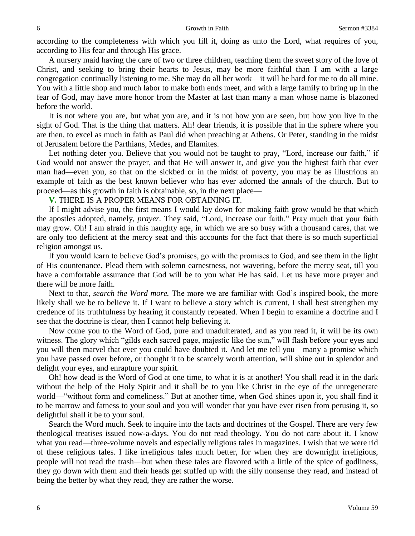according to the completeness with which you fill it, doing as unto the Lord, what requires of you, according to His fear and through His grace.

A nursery maid having the care of two or three children, teaching them the sweet story of the love of Christ, and seeking to bring their hearts to Jesus, may be more faithful than I am with a large congregation continually listening to me. She may do all her work—it will be hard for me to do all mine. You with a little shop and much labor to make both ends meet, and with a large family to bring up in the fear of God, may have more honor from the Master at last than many a man whose name is blazoned before the world.

It is not where you are, but what you are, and it is not how you are seen, but how you live in the sight of God. That is the thing that matters. Ah! dear friends, it is possible that in the sphere where you are then, to excel as much in faith as Paul did when preaching at Athens. Or Peter, standing in the midst of Jerusalem before the Parthians, Medes, and Elamites.

Let nothing deter you. Believe that you would not be taught to pray, "Lord*,* increase our faith," if God would not answer the prayer, and that He will answer it, and give you the highest faith that ever man had—even you, so that on the sickbed or in the midst of poverty, you may be as illustrious an example of faith as the best known believer who has ever adorned the annals of the church. But to proceed—as this growth in faith is obtainable, so, in the next place—

## **V.** THERE IS A PROPER MEANS FOR OBTAINING IT.

If I might advise you, the first means I would lay down for making faith grow would be that which the apostles adopted, namely, *prayer.* They said, "Lord, increase our faith." Pray much that your faith may grow. Oh! I am afraid in this naughty age, in which we are so busy with a thousand cares, that we are only too deficient at the mercy seat and this accounts for the fact that there is so much superficial religion amongst us.

If you would learn to believe God's promises, go with the promises to God, and see them in the light of His countenance. Plead them with solemn earnestness, not wavering, before the mercy seat, till you have a comfortable assurance that God will be to you what He has said. Let us have more prayer and there will be more faith.

Next to that, *search the Word more.* The more we are familiar with God's inspired book, the more likely shall we be to believe it. If I want to believe a story which is current, I shall best strengthen my credence of its truthfulness by hearing it constantly repeated. When I begin to examine a doctrine and I see that the doctrine is clear, then I cannot help believing it.

Now come you to the Word of God, pure and unadulterated, and as you read it, it will be its own witness. The glory which "gilds each sacred page, majestic like the sun," will flash before your eyes and you will then marvel that ever you could have doubted it. And let me tell you—many a promise which you have passed over before, or thought it to be scarcely worth attention, will shine out in splendor and delight your eyes, and enrapture your spirit.

Oh! how dead is the Word of God at one time, to what it is at another! You shall read it in the dark without the help of the Holy Spirit and it shall be to you like Christ in the eye of the unregenerate world—"without form and comeliness." But at another time, when God shines upon it, you shall find it to be marrow and fatness to your soul and you will wonder that you have ever risen from perusing it, so delightful shall it be to your soul.

Search the Word much. Seek to inquire into the facts and doctrines of the Gospel. There are very few theological treatises issued now-a-days. You do not read theology. You do not care about it. I know what you read—three-volume novels and especially religious tales in magazines. I wish that we were rid of these religious tales. I like irreligious tales much better, for when they are downright irreligious, people will not read the trash—but when these tales are flavored with a little of the spice of godliness, they go down with them and their heads get stuffed up with the silly nonsense they read, and instead of being the better by what they read, they are rather the worse.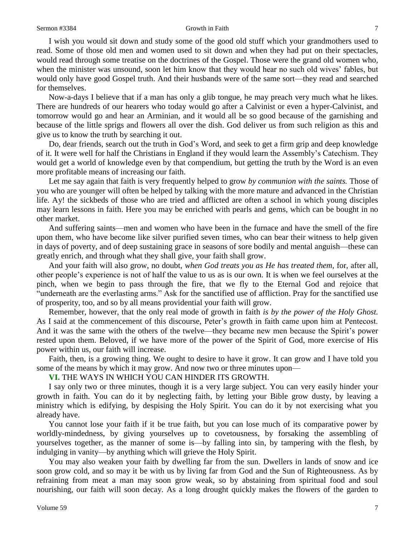### Sermon #3384 Growth in Faith 7

I wish you would sit down and study some of the good old stuff which your grandmothers used to read. Some of those old men and women used to sit down and when they had put on their spectacles, would read through some treatise on the doctrines of the Gospel. Those were the grand old women who, when the minister was unsound, soon let him know that they would hear no such old wives' fables, but would only have good Gospel truth. And their husbands were of the same sort—they read and searched for themselves.

Now-a-days I believe that if a man has only a glib tongue, he may preach very much what he likes. There are hundreds of our hearers who today would go after a Calvinist or even a hyper-Calvinist, and tomorrow would go and hear an Arminian, and it would all be so good because of the garnishing and because of the little sprigs and flowers all over the dish. God deliver us from such religion as this and give us to know the truth by searching it out.

Do, dear friends, search out the truth in God's Word, and seek to get a firm grip and deep knowledge of it. It were well for half the Christians in England if they would learn the Assembly's Catechism. They would get a world of knowledge even by that compendium, but getting the truth by the Word is an even more profitable means of increasing our faith.

Let me say again that faith is very frequently helped to grow *by communion with the saints.* Those of you who are younger will often be helped by talking with the more mature and advanced in the Christian life. Ay! the sickbeds of those who are tried and afflicted are often a school in which young disciples may learn lessons in faith. Here you may be enriched with pearls and gems, which can be bought in no other market.

And suffering saints—men and women who have been in the furnace and have the smell of the fire upon them, who have become like silver purified seven times, who can bear their witness to help given in days of poverty, and of deep sustaining grace in seasons of sore bodily and mental anguish—these can greatly enrich, and through what they shall give, your faith shall grow.

And your faith will also grow, no doubt, *when God treats you as He has treated them,* for, after all, other people's experience is not of half the value to us as is our own. It is when we feel ourselves at the pinch, when we begin to pass through the fire, that we fly to the Eternal God and rejoice that "underneath are the everlasting arms." Ask for the sanctified use of affliction. Pray for the sanctified use of prosperity, too, and so by all means providential your faith will grow.

Remember, however, that the only real mode of growth in faith *is by the power of the Holy Ghost.*  As I said at the commencement of this discourse, Peter's growth in faith came upon him at Pentecost. And it was the same with the others of the twelve—they became new men because the Spirit's power rested upon them. Beloved, if we have more of the power of the Spirit of God, more exercise of His power within us, our faith will increase.

Faith, then, is a growing thing. We ought to desire to have it grow. It can grow and I have told you some of the means by which it may grow. And now two or three minutes upon—

**VI.** THE WAYS IN WHICH YOU CAN HINDER ITS GROWTH.

I say only two or three minutes, though it is a very large subject. You can very easily hinder your growth in faith. You can do it by neglecting faith, by letting your Bible grow dusty, by leaving a ministry which is edifying, by despising the Holy Spirit. You can do it by not exercising what you already have.

You cannot lose your faith if it be true faith, but you can lose much of its comparative power by worldly-mindedness, by giving yourselves up to covetousness, by forsaking the assembling of yourselves together, as the manner of some is—by falling into sin, by tampering with the flesh, by indulging in vanity—by anything which will grieve the Holy Spirit.

You may also weaken your faith by dwelling far from the sun. Dwellers in lands of snow and ice soon grow cold, and so may it be with us by living far from God and the Sun of Righteousness. As by refraining from meat a man may soon grow weak, so by abstaining from spiritual food and soul nourishing, our faith will soon decay. As a long drought quickly makes the flowers of the garden to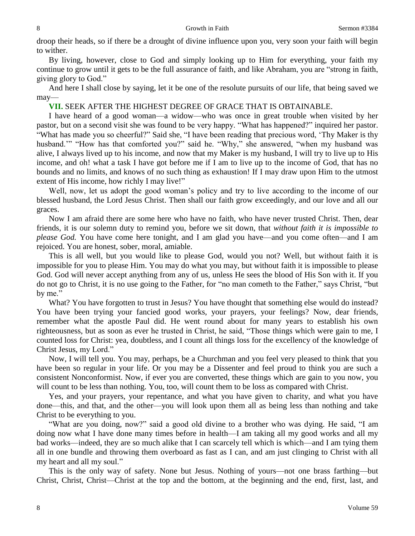droop their heads, so if there be a drought of divine influence upon you, very soon your faith will begin to wither.

By living, however, close to God and simply looking up to Him for everything, your faith my continue to grow until it gets to be the full assurance of faith, and like Abraham, you are "strong in faith, giving glory to God."

And here I shall close by saying, let it be one of the resolute pursuits of our life, that being saved we may—

**VII.** SEEK AFTER THE HIGHEST DEGREE OF GRACE THAT IS OBTAINABLE.

I have heard of a good woman—a widow—who was once in great trouble when visited by her pastor, but on a second visit she was found to be very happy. "What has happened?" inquired her pastor. "What has made you so cheerful?" Said she, "I have been reading that precious word, 'Thy Maker is thy husband."" "How has that comforted you?" said he. "Why," she answered, "when my husband was alive, I always lived up to his income, and now that my Maker is my husband, I will try to live up to His income, and oh! what a task I have got before me if I am to live up to the income of God, that has no bounds and no limits, and knows of no such thing as exhaustion! If I may draw upon Him to the utmost extent of His income, how richly I may live!"

Well, now, let us adopt the good woman's policy and try to live according to the income of our blessed husband, the Lord Jesus Christ. Then shall our faith grow exceedingly, and our love and all our graces.

Now I am afraid there are some here who have no faith, who have never trusted Christ. Then, dear friends, it is our solemn duty to remind you, before we sit down, that *without faith it is impossible to please God.* You have come here tonight, and I am glad you have—and you come often—and I am rejoiced. You are honest, sober, moral, amiable.

This is all well, but you would like to please God, would you not? Well, but without faith it is impossible for you to please Him. You may do what you may, but without faith it is impossible to please God. God will never accept anything from any of us, unless He sees the blood of His Son with it. If you do not go to Christ, it is no use going to the Father, for "no man cometh to the Father," says Christ, "but by me."

What? You have forgotten to trust in Jesus? You have thought that something else would do instead? You have been trying your fancied good works, your prayers, your feelings? Now, dear friends, remember what the apostle Paul did. He went round about for many years to establish his own righteousness, but as soon as ever he trusted in Christ, he said, "Those things which were gain to me, I counted loss for Christ: yea, doubtless, and I count all things loss for the excellency of the knowledge of Christ Jesus, my Lord."

Now, I will tell you. You may, perhaps, be a Churchman and you feel very pleased to think that you have been so regular in your life. Or you may be a Dissenter and feel proud to think you are such a consistent Nonconformist. Now, if ever you are converted, these things which are gain to you now, you will count to be less than nothing. You, too, will count them to be loss as compared with Christ.

Yes, and your prayers, your repentance, and what you have given to charity, and what you have done—this, and that, and the other—you will look upon them all as being less than nothing and take Christ to be everything to you.

"What are you doing, now?" said a good old divine to a brother who was dying. He said, "I am doing now what I have done many times before in health—I am taking all my good works and all my bad works—indeed, they are so much alike that I can scarcely tell which is which—and I am tying them all in one bundle and throwing them overboard as fast as I can, and am just clinging to Christ with all my heart and all my soul."

This is the only way of safety. None but Jesus. Nothing of yours—not one brass farthing—but Christ, Christ, Christ—Christ at the top and the bottom, at the beginning and the end, first, last, and